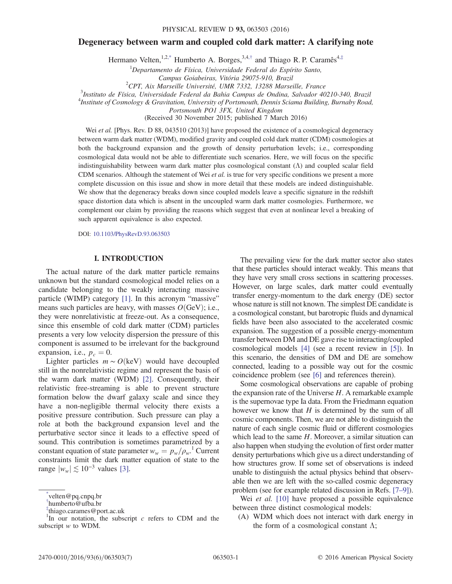# <span id="page-0-3"></span>Degeneracy between warm and coupled cold dark matter: A clarifying note

Hermano Velten,<sup>1,[2,\\*](#page-0-0)</sup> Humberto A. Borges,<sup>3,4,[†](#page-0-1)</sup> and Thiago R. P. Caramês<sup>4,[‡](#page-0-2)</sup>

 ${}^{1}$ Departamento de Física, Universidade Federal do Espírito Santo,

Campus Goiabeiras, Vitória 29075-910, Brazil<br><sup>2</sup>CPT Aix Marseille Université, UMP 7332, 13288 Marse

<sup>2</sup>CPT, Aix Marseille Université, UMR 7332, 13288 Marseille, France<br><sup>3</sup>Institute de Física, Universidade Federal da Pahia Campus de Ondina, Salvador 40

Instituto de Física, Universidade Federal da Bahia Campus de Ondina, Salvador 40210-340, Brazil

<sup>4</sup>Institute of Cosmology & Gravitation, University of Portsmouth, Dennis Sciama Building, Burnaby Road,

Portsmouth PO1 3FX, United Kingdom

(Received 30 November 2015; published 7 March 2016)

Wei et al. [Phys. Rev. D 88, 043510 (2013)] have proposed the existence of a cosmological degeneracy between warm dark matter (WDM), modified gravity and coupled cold dark matter (CDM) cosmologies at both the background expansion and the growth of density perturbation levels; i.e., corresponding cosmological data would not be able to differentiate such scenarios. Here, we will focus on the specific indistinguishability between warm dark matter plus cosmological constant (Λ) and coupled scalar field CDM scenarios. Although the statement of Wei et al. is true for very specific conditions we present a more complete discussion on this issue and show in more detail that these models are indeed distinguishable. We show that the degeneracy breaks down since coupled models leave a specific signature in the redshift space distortion data which is absent in the uncoupled warm dark matter cosmologies. Furthermore, we complement our claim by providing the reasons which suggest that even at nonlinear level a breaking of such apparent equivalence is also expected.

DOI: [10.1103/PhysRevD.93.063503](http://dx.doi.org/10.1103/PhysRevD.93.063503)

### I. INTRODUCTION

The actual nature of the dark matter particle remains unknown but the standard cosmological model relies on a candidate belonging to the weakly interacting massive particle (WIMP) category [\[1\]](#page-5-0). In this acronym "massive" means such particles are heavy, with masses  $O(GeV)$ ; i.e., they were nonrelativistic at freeze-out. As a consequence, since this ensemble of cold dark matter (CDM) particles presents a very low velocity dispersion the pressure of this component is assumed to be irrelevant for the background expansion, i.e.,  $p_c = 0$ .

Lighter particles  $m \sim O(\text{keV})$  would have decoupled still in the nonrelativistic regime and represent the basis of the warm dark matter (WDM) [\[2\]](#page-5-1). Consequently, their relativistic free-streaming is able to prevent structure formation below the dwarf galaxy scale and since they have a non-negligible thermal velocity there exists a positive pressure contribution. Such pressure can play a role at both the background expansion level and the perturbative sector since it leads to a effective speed of sound. This contribution is sometimes parametrized by a constant equation of state parameter  $w_w = p_w / \rho_w$ .<sup>1</sup> Current constraints limit the dark matter equation of state to the range  $|w_w| \lesssim 10^{-3}$  values [\[3\]](#page-5-2).

The prevailing view for the dark matter sector also states that these particles should interact weakly. This means that they have very small cross sections in scattering processes. However, on large scales, dark matter could eventually transfer energy-momentum to the dark energy (DE) sector whose nature is still not known. The simplest DE candidate is a cosmological constant, but barotropic fluids and dynamical fields have been also associated to the accelerated cosmic expansion. The suggestion of a possible energy-momentum transfer between DM and DE gave rise to interacting/coupled cosmological models [\[4\]](#page-5-3) (see a recent review in [\[5\]\)](#page-5-4). In this scenario, the densities of DM and DE are somehow connected, leading to a possible way out for the cosmic coincidence problem (see [\[6\]](#page-5-5) and references therein).

Some cosmological observations are capable of probing the expansion rate of the Universe  $H$ . A remarkable example is the supernovae type Ia data. From the Friedmann equation however we know that  $H$  is determined by the sum of all cosmic components. Then, we are not able to distinguish the nature of each single cosmic fluid or different cosmologies which lead to the same  $H$ . Moreover, a similar situation can also happen when studying the evolution of first order matter density perturbations which give us a direct understanding of how structures grow. If some set of observations is indeed unable to distinguish the actual physics behind that observable then we are left with the so-called cosmic degeneracy problem (see for example related discussion in Refs. [\[7](#page-5-6)–9]).

Wei et al. [\[10\]](#page-5-7) have proposed a possible equivalence between three distinct cosmological models:

(A) WDM which does not interact with dark energy in the form of a cosmological constant  $\Lambda$ ;

<span id="page-0-0"></span>[<sup>\\*</sup>](#page-0-3) velten@pq.cnpq.br

<span id="page-0-1"></span>[<sup>†</sup>](#page-0-3) humberto@ufba.br

<span id="page-0-2"></span>[<sup>‡</sup>](#page-0-3) thiago.carames@port.ac.uk

<sup>&</sup>lt;sup>1</sup>In our notation, the subscript  $c$  refers to CDM and the subscript  $w$  to WDM.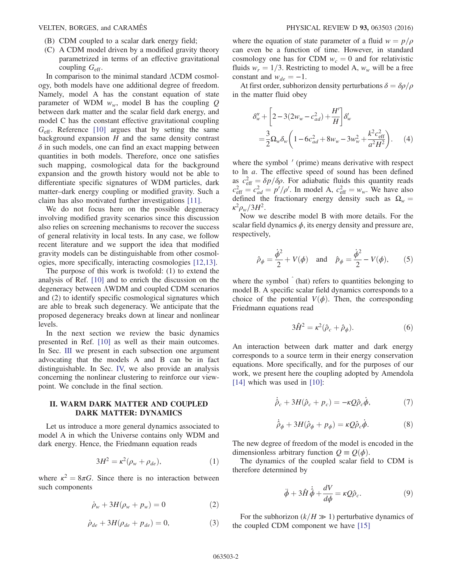- (B) CDM coupled to a scalar dark energy field;
- (C) A CDM model driven by a modified gravity theory parametrized in terms of an effective gravitational coupling  $G_{\text{eff}}$ .

In comparison to the minimal standard ΛCDM cosmology, both models have one additional degree of freedom. Namely, model A has the constant equation of state parameter of WDM  $w_w$ , model B has the coupling Q between dark matter and the scalar field dark energy, and model C has the constant effective gravitational coupling  $G<sub>eff</sub>$ . Reference [\[10\]](#page-5-7) argues that by setting the same background expansion  $H$  and the same density contrast  $\delta$  in such models, one can find an exact mapping between quantities in both models. Therefore, once one satisfies such mapping, cosmological data for the background expansion and the growth history would not be able to differentiate specific signatures of WDM particles, dark matter–dark energy coupling or modified gravity. Such a claim has also motivated further investigations [\[11\]](#page-5-8).

We do not focus here on the possible degeneracy involving modified gravity scenarios since this discussion also relies on screening mechanisms to recover the success of general relativity in local tests. In any case, we follow recent literature and we support the idea that modified gravity models can be distinguishable from other cosmologies, more specifically, interacting cosmologies [\[12,13\]](#page-5-9).

The purpose of this work is twofold: (1) to extend the analysis of Ref. [\[10\]](#page-5-7) and to enrich the discussion on the degeneracy between ΛWDM and coupled CDM scenarios and (2) to identify specific cosmological signatures which are able to break such degeneracy. We anticipate that the proposed degeneracy breaks down at linear and nonlinear levels.

In the next section we review the basic dynamics presented in Ref. [\[10\]](#page-5-7) as well as their main outcomes. In Sec. [III](#page-2-0) we present in each subsection one argument advocating that the models A and B can be in fact distinguishable. In Sec. [IV,](#page-4-0) we also provide an analysis concerning the nonlinear clustering to reinforce our viewpoint. We conclude in the final section.

## II. WARM DARK MATTER AND COUPLED DARK MATTER: DYNAMICS

Let us introduce a more general dynamics associated to model A in which the Universe contains only WDM and dark energy. Hence, the Friedmann equation reads

$$
3H^2 = \kappa^2(\rho_w + \rho_{de}),\tag{1}
$$

where  $\kappa^2 = 8\pi G$ . Since there is no interaction between such components

$$
\dot{\rho}_w + 3H(\rho_w + p_w) = 0 \tag{2}
$$

$$
\dot{\rho}_{de} + 3H(\rho_{de} + p_{de}) = 0, \qquad (3)
$$

where the equation of state parameter of a fluid  $w = p/\rho$ can even be a function of time. However, in standard cosmology one has for CDM  $w_c = 0$  and for relativistic fluids  $w_r = 1/3$ . Restricting to model A,  $w_w$  will be a free constant and  $w_{de} = -1$ .

<span id="page-1-0"></span>At first order, subhorizon density perturbations  $\delta = \delta \rho / \rho$ in the matter fluid obey

$$
\delta_w'' + \left[2 - 3(2w_w - c_{ad}^2) + \frac{H'}{H}\right] \delta_w'
$$
  
=  $\frac{3}{2} \Omega_w \delta_w \left(1 - 6c_{ad}^2 + 8w_w - 3w_w^2 + \frac{k^2 c_{\text{eff}}^2}{a^2 H^2}\right).$  (4)

where the symbol  $\prime$  (prime) means derivative with respect to ln a. The effective speed of sound has been defined as  $c_{\text{eff}}^2 = \delta p / \delta \rho$ . For adiabatic fluids this quantity reads  $c_{\text{eff}}^2 = c_{ad}^2 = p'/\rho'$ . In model A,  $c_{\text{eff}}^2 = w_w$ . We have also defined the fractionary energy density such as  $\Omega_w =$  $\kappa^2 \rho_w/3H^2$ .

Now we describe model B with more details. For the scalar field dynamics  $\phi$ , its energy density and pressure are, respectively,

$$
\hat{\rho}_{\phi} = \frac{\dot{\phi}^2}{2} + V(\phi) \quad \text{and} \quad \hat{p}_{\phi} = \frac{\dot{\phi}^2}{2} - V(\phi), \qquad (5)
$$

where the symbol  $\hat{ }$  (hat) refers to quantities belonging to model B. A specific scalar field dynamics corresponds to a choice of the potential  $V(\phi)$ . Then, the corresponding Friedmann equations read

$$
3\hat{H}^2 = \kappa^2 (\hat{\rho}_c + \hat{\rho}_\phi). \tag{6}
$$

An interaction between dark matter and dark energy corresponds to a source term in their energy conservation equations. More specifically, and for the purposes of our work, we present here the coupling adopted by Amendola [\[14\]](#page-5-10) which was used in [\[10\]:](#page-5-7)

$$
\dot{\hat{\rho}}_c + 3H(\hat{\rho}_c + p_c) = -\kappa Q \hat{\rho}_c \dot{\phi},\tag{7}
$$

$$
\dot{\hat{\rho}}_{\phi} + 3H(\hat{\rho}_{\phi} + p_{\phi}) = \kappa \mathcal{Q}\hat{\rho}_c \dot{\phi}.
$$
 (8)

The new degree of freedom of the model is encoded in the dimensionless arbitrary function  $Q \equiv Q(\phi)$ .

The dynamics of the coupled scalar field to CDM is therefore determined by

$$
\ddot{\phi} + 3\hat{H}\dot{\dot{\phi}} + \frac{dV}{d\phi} = \kappa Q \hat{\rho}_c.
$$
 (9)

<span id="page-1-1"></span>For the subhorizon  $(k/H \gg 1)$  perturbative dynamics of the coupled CDM component we have [\[15\]](#page-5-11)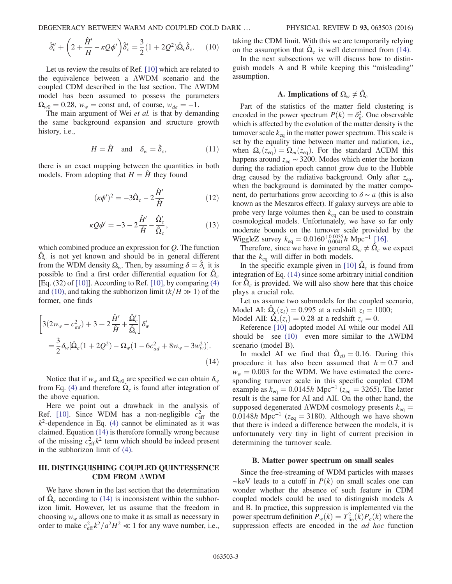DEGENERACY BETWEEN WARM AND COUPLED COLD DARK … PHYSICAL REVIEW D 93, 063503 (2016)

$$
\hat{\delta}''_c + \left(2 + \frac{\hat{H}'}{H} - \kappa Q \phi'\right) \hat{\delta}'_c = \frac{3}{2} (1 + 2Q^2) \hat{\Omega}_c \hat{\delta}_c.
$$
 (10)

Let us review the results of Ref. [\[10\]](#page-5-7) which are related to the equivalence between a ΛWDM scenario and the coupled CDM described in the last section. The ΛWDM model has been assumed to possess the parameters  $\Omega_{w0} = 0.28$ ,  $w_w = \text{const}$  and, of course,  $w_{de} = -1$ .

The main argument of Wei et al. is that by demanding the same background expansion and structure growth history, i.e.,

$$
H = \hat{H} \quad \text{and} \quad \delta_w = \hat{\delta}_c,\tag{11}
$$

there is an exact mapping between the quantities in both models. From adopting that  $H = \hat{H}$  they found

$$
(\kappa \phi')^2 = -3\hat{\Omega}_c - 2\frac{\hat{H}'}{\hat{H}}\tag{12}
$$

$$
\kappa \mathcal{Q}\phi' = -3 - 2\frac{\hat{H}'}{\hat{H}} - \frac{\hat{\Omega}_c'}{\hat{\Omega}_c},\tag{13}
$$

which combined produce an expression for Q. The function  $\Omega_c$  is not yet known and should be in general different from the WDM density  $\Omega_w$ . Then, by assuming  $\delta = \hat{\delta}_c$  it is possible to find a first order differential equation for  $\Omega_c$ [Eq.  $(32)$  of [\[10\]](#page-5-7)]. According to Ref. [\[10\],](#page-5-7) by comparing  $(4)$ and [\(10\),](#page-1-1) and taking the subhorizon limit  $(k/H \gg 1)$  of the former, one finds

<span id="page-2-1"></span>
$$
\left[3(2w_w - c_{ad}^2) + 3 + 2\frac{\hat{H}'}{\hat{H}} + \frac{\hat{\Omega}_c'}{\hat{\Omega}_c}\right]\delta'_w
$$
  
=  $\frac{3}{2}\delta_w[\hat{\Omega}_c(1 + 2Q^2) - \Omega_w(1 - 6c_{ad}^2 + 8w_w - 3w_w^2)].$  (14)

Notice that if  $w_w$  and  $\Omega_{w0}$  are specified we can obtain  $\delta_w$ from Eq. [\(4\)](#page-1-0) and therefore  $\Omega_c$  is found after integration of the above equation.

Here we point out a drawback in the analysis of Ref. [\[10\]](#page-5-7). Since WDM has a non-negligible  $c_{\text{eff}}^2$  the  $k^2$ -dependence in Eq. [\(4\)](#page-1-0) cannot be eliminated as it was claimed. Equation [\(14\)](#page-2-1) is therefore formally wrong because of the missing  $c_{\text{eff}}^2 k^2$  term which should be indeed present in the subhorizon limit of [\(4\)](#page-1-0).

# <span id="page-2-0"></span>III. DISTINGUISHING COUPLED QUINTESSENCE CDM FROM ΛWDM

We have shown in the last section that the determination of  $\hat{\Omega}_c$  according to [\(14\)](#page-2-1) is inconsistent within the subhorizon limit. However, let us assume that the freedom in choosing  $w_w$  allows one to make it as small as necessary in order to make  $c_{\text{eff}}^2 k^2/a^2H^2 \ll 1$  for any wave number, i.e., taking the CDM limit. With this we are temporarily relying on the assumption that  $\Omega_c$  is well determined from [\(14\).](#page-2-1)

In the next subsections we will discuss how to distinguish models A and B while keeping this "misleading" assumption.

### A. Implications of  $\Omega_w \neq \hat{\Omega}_c$

Part of the statistics of the matter field clustering is encoded in the power spectrum  $P(k) = \delta_k^2$ . One observable which is affected by the evolution of the matter density is the turnover scale  $k_{eq}$  in the matter power spectrum. This scale is set by the equality time between matter and radiation, i.e., when  $\Omega_r(z_{eq}) = \Omega_m(z_{eq})$ . For the standard ΛCDM this happens around  $z_{eq} \sim 3200$ . Modes which enter the horizon during the radiation epoch cannot grow due to the Hubble drag caused by the radiative background. Only after  $z_{\text{eq}}$ , when the background is dominated by the matter component, do perturbations grow according to  $\delta \sim a$  (this is also known as the Meszaros effect). If galaxy surveys are able to probe very large volumes then  $k_{eq}$  can be used to constrain cosmological models. Unfortunately, we have so far only moderate bounds on the turnover scale provided by the WiggleZ survey  $k_{\text{eq}} = 0.0160_{-0.0041}^{+0.0035} h \text{ Mpc}^{-1}$  [\[16\].](#page-5-12)

Therefore, since we have in general  $\Omega_w \neq \Omega_c$  we expect that the  $k_{eq}$  will differ in both models.

In the specific example given in [\[10\]](#page-5-7)  $\Omega_c$  is found from integration of Eq. [\(14\)](#page-2-1) since some arbitrary initial condition for  $\hat{\Omega}_c$  is provided. We will also show here that this choice plays a crucial role.

Let us assume two submodels for the coupled scenario, Model AI:  $\Omega_c(z_i) = 0.995$  at a redshift  $z_i = 1000$ ; Model AII:  $\Omega_c(z_i) = 0.28$  at a redshift  $z_i = 0$ .

Reference [\[10\]](#page-5-7) adopted model AI while our model AII should be—see [\(10\)](#page-1-1)—even more similar to the ΛWDM scenario (model B).

In model AI we find that  $\Omega_{c0} = 0.16$ . During this procedure it has also been assumed that  $h = 0.7$  and  $w_w = 0.003$  for the WDM. We have estimated the corresponding turnover scale in this specific coupled CDM example as  $k_{\text{eq}} = 0.0145h \text{ Mpc}^{-1}$  ( $z_{\text{eq}} = 3265$ ). The latter result is the same for AI and AII. On the other hand, the supposed degenerated  $\Lambda$ WDM cosmology presents  $k_{eq} =$ 0.0148h Mpc<sup>-1</sup> ( $z_{eq}$  = 3180). Although we have shown that there is indeed a difference between the models, it is unfortunately very tiny in light of current precision in determining the turnover scale.

#### B. Matter power spectrum on small scales

Since the free-streaming of WDM particles with masses  $~\sim$ keV leads to a cutoff in  $P(k)$  on small scales one can wonder whether the absence of such feature in CDM coupled models could be used to distinguish models A and B. In practice, this suppression is implemented via the power spectrum definition  $P_w(k) = T_{lin}^2(k)P_c(k)$  where the suppression effects are encoded in the *ad hoc* function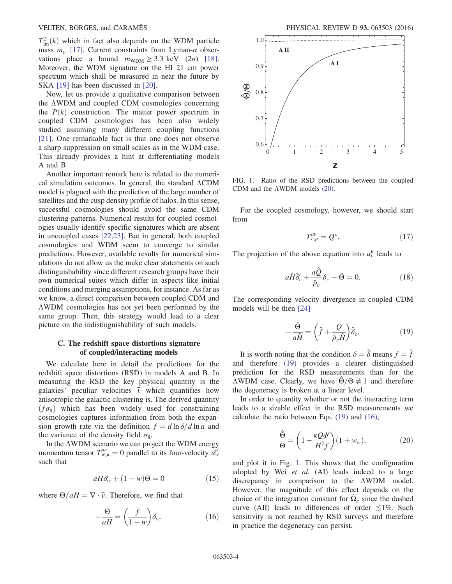$T_{\text{lin}}^2(k)$  which in fact also depends on the WDM particle mass  $m_w$  [\[17\]](#page-5-13). Current constraints from Lyman- $\alpha$  observations place a bound  $m_{\text{WDM}} \geq 3.3 \text{ keV}$  (2 $\sigma$ ) [\[18\]](#page-5-14). Moreover, the WDM signature on the HI 21 cm power spectrum which shall be measured in near the future by SKA [\[19\]](#page-5-15) has been discussed in [\[20\].](#page-5-16)

Now, let us provide a qualitative comparison between the ΛWDM and coupled CDM cosmologies concerning the  $P(k)$  construction. The matter power spectrum in coupled CDM cosmologies has been also widely studied assuming many different coupling functions [\[21\].](#page-5-17) One remarkable fact is that one does not observe a sharp suppression on small scales as in the WDM case. This already provides a hint at differentiating models A and B.

Another important remark here is related to the numerical simulation outcomes. In general, the standard ΛCDM model is plagued with the prediction of the large number of satellites and the cusp density profile of halos. In this sense, successful cosmologies should avoid the same CDM clustering patterns. Numerical results for coupled cosmologies usually identify specific signatures which are absent in uncoupled cases [\[22,23\]](#page-6-0). But in general, both coupled cosmologies and WDM seem to converge to similar predictions. However, available results for numerical simulations do not allow us the make clear statements on such distinguishability since different research groups have their own numerical suites which differ in aspects like initial conditions and merging assumptions, for instance. As far as we know, a direct comparison between coupled CDM and ΛWDM cosmologies has not yet been performed by the same group. Then, this strategy would lead to a clear picture on the indistinguishability of such models.

## C. The redshift space distortions signature of coupled/interacting models

We calculate here in detail the predictions for the redshift space distortions (RSD) in models A and B. In measuring the RSD the key physical quantity is the galaxies' peculiar velocities  $\vec{v}$  which quantifies how anisotropic the galactic clustering is. The derived quantity  $(f\sigma_8)$  which has been widely used for constraining cosmologies captures information from both the expansion growth rate via the definition  $f = d \ln \delta / d \ln a$  and the variance of the density field  $\sigma_8$ .

In the ΛWDM scenario we can project the WDM energy momentum tensor  $T^{\mu\nu}_{w;\mu} = 0$  parallel to its four-velocity  $u^{\mu}_{w}$ such that

$$
aH\delta'_w + (1+w)\Theta = 0 \tag{15}
$$

<span id="page-3-1"></span>where  $\Theta/aH = \nabla \cdot \vec{v}$ . Therefore, we find that

$$
-\frac{\Theta}{aH} = \left(\frac{f}{1+w}\right)\delta_w.
$$
 (16)

<span id="page-3-2"></span>

FIG. 1. Ratio of the RSD predictions between the coupled CDM and the ΛWDM models [\(20\).](#page-3-3)

For the coupled cosmology, however, we should start from

$$
T_{c;\mu}^{\mu\nu} = Q^{\nu}.
$$
 (17)

The projection of the above equation into  $u_c^{\mu}$  leads to

$$
a\hat{H}\hat{\delta}'_c + \frac{a\hat{Q}}{\hat{\rho}_c}\delta_c + \hat{\Theta} = 0.
$$
 (18)

<span id="page-3-0"></span>The corresponding velocity divergence in coupled CDM models will be then [\[24\]](#page-6-1)

$$
-\frac{\hat{\Theta}}{a\hat{H}} = \left(\hat{f} + \frac{Q}{\hat{\rho}_c\hat{H}}\right)\hat{\delta}_c.
$$
 (19)

It is worth noting that the condition  $\delta = \hat{\delta}$  means  $f = \hat{f}$ and therefore [\(19\)](#page-3-0) provides a clearer distinguished prediction for the RSD measurements than for the  $\triangle WDM$  case. Clearly, we have Θ/Θ ≠ 1 and therefore the degeneracy is broken at a linear level.

<span id="page-3-3"></span>In order to quantity whether or not the interacting term leads to a sizable effect in the RSD measurements we calculate the ratio between Eqs. [\(19\)](#page-3-0) and [\(16\)](#page-3-1),

$$
\frac{\hat{\Theta}}{\Theta} = \left(1 - \frac{\kappa \mathcal{Q} \phi'}{H^2 f}\right) (1 + w_w),\tag{20}
$$

and plot it in Fig. [1](#page-3-2). This shows that the configuration adopted by Wei et al. (AI) leads indeed to a large discrepancy in comparison to the ΛWDM model. However, the magnitude of this effect depends on the choice of the integration constant for  $\hat{\Omega}_c$  since the dashed curve (AII) leads to differences of order  $\leq 1\%$ . Such sensitivity is not reached by RSD surveys and therefore in practice the degeneracy can persist.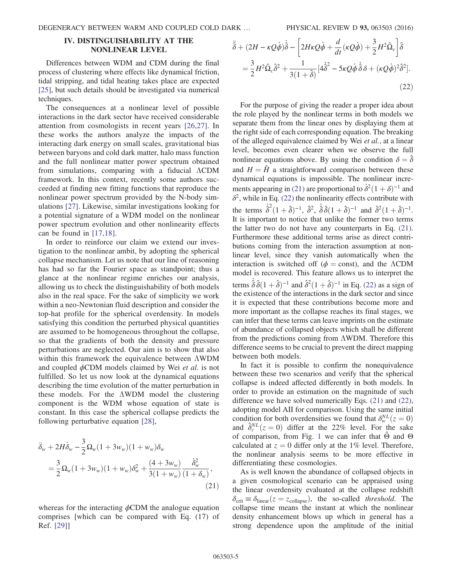### <span id="page-4-0"></span>IV. DISTINGUISHABILITY AT THE NONLINEAR LEVEL

Differences between WDM and CDM during the final process of clustering where effects like dynamical friction, tidal stripping, and tidal heating takes place are expected [\[25\]](#page-6-2), but such details should be investigated via numerical techniques.

The consequences at a nonlinear level of possible interactions in the dark sector have received considerable attention from cosmologists in recent years [\[26,27\].](#page-6-3) In these works the authors analyze the impacts of the interacting dark energy on small scales, gravitational bias between baryons and cold dark matter, halo mass function and the full nonlinear matter power spectrum obtained from simulations, comparing with a fiducial ΛCDM framework. In this context, recently some authors succeeded at finding new fitting functions that reproduce the nonlinear power spectrum provided by the N-body simulations [\[27\]](#page-6-4). Likewise, similar investigations looking for a potential signature of a WDM model on the nonlinear power spectrum evolution and other nonlinearity effects can be found in [\[17,18\].](#page-5-13)

In order to reinforce our claim we extend our investigation to the nonlinear ambit, by adopting the spherical collapse mechanism. Let us note that our line of reasoning has had so far the Fourier space as standpoint; thus a glance at the nonlinear regime enriches our analysis, allowing us to check the distinguishability of both models also in the real space. For the sake of simplicity we work within a neo-Newtonian fluid description and consider the top-hat profile for the spherical overdensity. In models satisfying this condition the perturbed physical quantities are assumed to be homogeneous throughout the collapse, so that the gradients of both the density and pressure perturbations are neglected. Our aim is to show that also within this framework the equivalence between ΛWDM and coupled  $\phi$ CDM models claimed by Wei *et al.* is not fulfilled. So let us now look at the dynamical equations describing the time evolution of the matter perturbation in these models. For the ΛWDM model the clustering component is the WDM whose equation of state is constant. In this case the spherical collapse predicts the following perturbative equation [\[28\]](#page-6-5),

<span id="page-4-1"></span>
$$
\ddot{\delta}_{w} + 2H\dot{\delta}_{w} - \frac{3}{2}\Omega_{w}(1+3w_{w})(1+w_{w})\delta_{w}
$$
\n
$$
= \frac{3}{2}\Omega_{w}(1+3w_{w})(1+w_{w})\delta_{w}^{2} + \frac{(4+3w_{w})}{3(1+w_{w})}\frac{\dot{\delta}_{w}^{2}}{(1+\delta_{w})},
$$
\n(21)

<span id="page-4-2"></span>whereas for the interacting  $\phi$ CDM the analogue equation comprises [which can be compared with Eq. (17) of Ref. [\[29\]](#page-6-6)]

$$
\ddot{\hat{\delta}} + (2H - \kappa Q \dot{\phi}) \dot{\hat{\delta}} - \left[ 2H\kappa Q \dot{\phi} + \frac{d}{dt} (\kappa Q \dot{\phi}) + \frac{3}{2} H^2 \hat{\Omega}_c \right] \hat{\delta}
$$
  
=  $\frac{3}{2} H^2 \hat{\Omega}_c \hat{\delta}^2 + \frac{1}{3(1 + \hat{\delta})} [4 \dot{\hat{\delta}}^2 - 5\kappa Q \dot{\phi} \dot{\hat{\delta}} \delta + (\kappa Q \dot{\phi})^2 \hat{\delta}^2].$  (22)

For the purpose of giving the reader a proper idea about the role played by the nonlinear terms in both models we separate them from the linear ones by displaying them at the right side of each corresponding equation. The breaking of the alleged equivalence claimed by Wei et al., at a linear level, becomes even clearer when we observe the full nonlinear equations above. By using the condition  $\delta = \hat{\delta}$ and  $H = \hat{H}$  a straightforward comparison between these dynamical equations is impossible. The nonlinear incre-ments appearing in [\(21\)](#page-4-1) are proportional to  $\dot{\delta}^2 (1 + \delta)^{-1}$  and  $\delta^2$ , while in Eq. [\(22\)](#page-4-2) the nonlinearity effects contribute with the terms  $\dot{\hat{\delta}}^2 (1 + \hat{\delta})^{-1}$ ,  $\hat{\delta}^2$ ,  $\dot{\hat{\delta}} \hat{\delta} (1 + \hat{\delta})^{-1}$  and  $\hat{\delta}^2 (1 + \hat{\delta})^{-1}$ . It is important to notice that unlike the former two terms the latter two do not have any counterparts in Eq. [\(21\)](#page-4-1). Furthermore these additional terms arise as direct contributions coming from the interaction assumption at nonlinear level, since they vanish automatically when the interaction is switched off ( $\phi$  = const), and the  $\Lambda$ CDM model is recovered. This feature allows us to interpret the terms  $\hat{\delta}\hat{\delta}(1+\hat{\delta})^{-1}$  and  $\hat{\delta}^2(1+\hat{\delta})^{-1}$  in Eq. [\(22\)](#page-4-2) as a sign of the existence of the interactions in the dark sector and since it is expected that these contributions become more and more important as the collapse reaches its final stages, we can infer that these terms can leave imprints on the estimate of abundance of collapsed objects which shall be different from the predictions coming from ΛWDM. Therefore this difference seems to be crucial to prevent the direct mapping between both models.

In fact it is possible to confirm the nonequivalence between these two scenarios and verify that the spherical collapse is indeed affected differently in both models. In order to provide an estimation on the magnitude of such difference we have solved numerically Eqs. [\(21\)](#page-4-1) and [\(22\)](#page-4-2), adopting model AII for comparison. Using the same initial condition for both overdensities we found that  $\delta_w^{NL}(z=0)$ and  $\hat{\delta}_c^{NL}(z=0)$  differ at the 22% level. For the sake of comparison, from Fig. [1](#page-3-2) we can infer that  $\Theta$  and  $\Theta$ calculated at  $z = 0$  differ only at the 1% level. Therefore, the nonlinear analysis seems to be more effective in differentiating these cosmologies.

As is well known the abundance of collapsed objects in a given cosmological scenario can be appraised using the linear overdensity evaluated at the collapse redshift  $\delta_{\text{crit}} \equiv \delta_{\text{linear}}(z = z_{\text{collapse}})$ , the so-called threshold. The collapse time means the instant at which the nonlinear density enhancement blows up which in general has a strong dependence upon the amplitude of the initial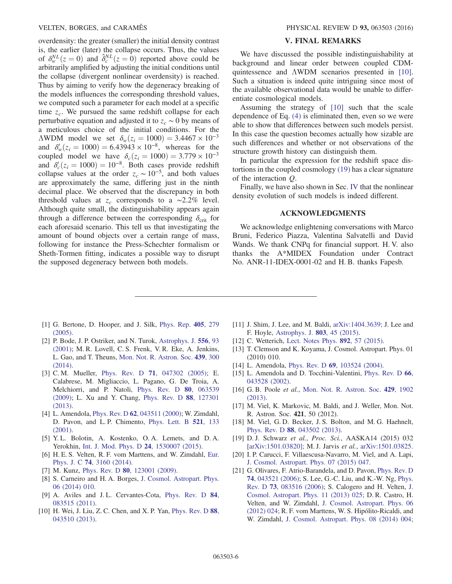overdensity: the greater (smaller) the initial density contrast is, the earlier (later) the collapse occurs. Thus, the values of  $\delta_w^{NL}(z=0)$  and  $\hat{\delta}_c^{NL}(z=0)$  reported above could be arbitrarily amplified by adjusting the initial conditions until the collapse (divergent nonlinear overdensity) is reached. Thus by aiming to verify how the degeneracy breaking of the models influences the corresponding threshold values, we computed such a parameter for each model at a specific time  $z_c$ . We pursued the same redshift collapse for each perturbative equation and adjusted it to  $z_c \sim 0$  by means of a meticulous choice of the initial conditions. For the ΛWDM model we set  $δ_w(z_i = 1000) = 3.4467 \times 10^{-3}$ and  $\delta'_w(z_i = 1000) = 6.43943 \times 10^{-8}$ , whereas for the coupled model we have  $\delta_c(z_i = 1000) = 3.779 \times 10^{-3}$ and  $\delta_c'(z_i = 1000) = 10^{-8}$ . Both cases provide redshift collapse values at the order  $z_c \sim 10^{-5}$ , and both values are approximately the same, differing just in the ninth decimal place. We observed that the discrepancy in both threshold values at  $z_c$  corresponds to a ∼2.2% level. Although quite small, the distinguishability appears again through a difference between the corresponding  $\delta_{\rm crit}$  for each aforesaid scenario. This tell us that investigating the amount of bound objects over a certain range of mass, following for instance the Press-Schechter formalism or Sheth-Tormen fitting, indicates a possible way to disrupt the supposed degeneracy between both models.

### V. FINAL REMARKS

We have discussed the possible indistinguishability at background and linear order between coupled CDMquintessence and ΛWDM scenarios presented in [\[10\]](#page-5-7). Such a situation is indeed quite intriguing since most of the available observational data would be unable to differentiate cosmological models.

Assuming the strategy of [\[10\]](#page-5-7) such that the scale dependence of Eq. [\(4\)](#page-1-0) is eliminated then, even so we were able to show that differences between such models persist. In this case the question becomes actually how sizable are such differences and whether or not observations of the structure growth history can distinguish them.

In particular the expression for the redshift space distortions in the coupled cosmology [\(19\)](#page-3-0) has a clear signature of the interaction Q.

Finally, we have also shown in Sec. [IV](#page-4-0) that the nonlinear density evolution of such models is indeed different.

### ACKNOWLEDGMENTS

We acknowledge enlightening conversations with Marco Bruni, Federico Piazza, Valentina Salvatelli and David Wands. We thank CNPq for financial support. H. V. also thanks the A\*MIDEX Foundation under Contract No. ANR-11-IDEX-0001-02 and H. B. thanks Fapesb.

- <span id="page-5-0"></span>[1] G. Bertone, D. Hooper, and J. Silk, [Phys. Rep.](http://dx.doi.org/10.1016/j.physrep.2004.08.031) 405, 279 [\(2005\).](http://dx.doi.org/10.1016/j.physrep.2004.08.031)
- <span id="page-5-1"></span>[2] P. Bode, J. P. Ostriker, and N. Turok, [Astrophys. J.](http://dx.doi.org/10.1086/321541) 556, 93 [\(2001\);](http://dx.doi.org/10.1086/321541) M. R. Lovell, C. S. Frenk, V. R. Eke, A. Jenkins, L. Gao, and T. Theuns, [Mon. Not. R. Astron. Soc.](http://dx.doi.org/10.1093/mnras/stt2431) 439, 300 [\(2014\).](http://dx.doi.org/10.1093/mnras/stt2431)
- <span id="page-5-2"></span>[3] C. M. Mueller, Phys. Rev. D **71**[, 047302 \(2005\);](http://dx.doi.org/10.1103/PhysRevD.71.047302) E. Calabrese, M. Migliaccio, L. Pagano, G. De Troia, A. Melchiorri, and P. Natoli, [Phys. Rev. D](http://dx.doi.org/10.1103/PhysRevD.80.063539) 80, 063539 [\(2009\);](http://dx.doi.org/10.1103/PhysRevD.80.063539) L. Xu and Y. Chang, [Phys. Rev. D](http://dx.doi.org/10.1103/PhysRevD.88.127301) 88, 127301 [\(2013\).](http://dx.doi.org/10.1103/PhysRevD.88.127301)
- <span id="page-5-3"></span>[4] L. Amendola, Phys. Rev. D 62[, 043511 \(2000\);](http://dx.doi.org/10.1103/PhysRevD.62.043511) W. Zimdahl, D. Pavon, and L. P. Chimento, [Phys. Lett. B](http://dx.doi.org/10.1016/S0370-2693(01)01174-1) 521, 133 [\(2001\).](http://dx.doi.org/10.1016/S0370-2693(01)01174-1)
- <span id="page-5-4"></span>[5] Y. L. Bolotin, A. Kostenko, O. A. Lemets, and D. A. Yerokhin, [Int. J. Mod. Phys. D](http://dx.doi.org/10.1142/S0218271815300074) 24, 1530007 (2015).
- <span id="page-5-5"></span>[6] H. E. S. Velten, R. F. vom Marttens, and W. Zimdahl, [Eur.](http://dx.doi.org/10.1140/epjc/s10052-014-3160-4) Phys. J. C 74[, 3160 \(2014\).](http://dx.doi.org/10.1140/epjc/s10052-014-3160-4)
- <span id="page-5-6"></span>[7] M. Kunz, Phys. Rev. D 80[, 123001 \(2009\).](http://dx.doi.org/10.1103/PhysRevD.80.123001)
- [8] S. Carneiro and H. A. Borges, [J. Cosmol. Astropart. Phys.](http://dx.doi.org/10.1088/1475-7516/2014/06/010) [06 \(2014\) 010.](http://dx.doi.org/10.1088/1475-7516/2014/06/010)
- [9] A. Aviles and J. L. Cervantes-Cota, [Phys. Rev. D](http://dx.doi.org/10.1103/PhysRevD.84.083515) 84, [083515 \(2011\).](http://dx.doi.org/10.1103/PhysRevD.84.083515)
- <span id="page-5-7"></span>[10] H. Wei, J. Liu, Z. C. Chen, and X. P. Yan, [Phys. Rev. D](http://dx.doi.org/10.1103/PhysRevD.88.043510) 88, [043510 \(2013\).](http://dx.doi.org/10.1103/PhysRevD.88.043510)
- <span id="page-5-8"></span>[11] J. Shim, J. Lee, and M. Baldi, [arXiv:1404.3639;](http://arXiv.org/abs/1404.3639) J. Lee and F. Hoyle, [Astrophys. J.](http://dx.doi.org/10.1088/0004-637X/803/1/45) 803, 45 (2015).
- <span id="page-5-9"></span>[12] C. Wetterich, [Lect. Notes Phys.](http://dx.doi.org/10.1007/978-3-319-10070-8_3) **892**, 57 (2015).
- [13] T. Clemson and K. Koyama, J. Cosmol. Astropart. Phys. 01 (2010) 010.
- <span id="page-5-10"></span>[14] L. Amendola, Phys. Rev. D 69[, 103524 \(2004\).](http://dx.doi.org/10.1103/PhysRevD.69.103524)
- <span id="page-5-11"></span>[15] L. Amendola and D. Tocchini-Valentini, [Phys. Rev. D](http://dx.doi.org/10.1103/PhysRevD.66.043528) 66, [043528 \(2002\).](http://dx.doi.org/10.1103/PhysRevD.66.043528)
- <span id="page-5-12"></span>[16] G. B. Poole et al., [Mon. Not. R. Astron. Soc.](http://dx.doi.org/10.1093/mnras/sts431) 429, 1902 [\(2013\).](http://dx.doi.org/10.1093/mnras/sts431)
- <span id="page-5-13"></span>[17] M. Viel, K. Markovic, M. Baldi, and J. Weller, Mon. Not. R. Astron. Soc. 421, 50 (2012).
- <span id="page-5-14"></span>[18] M. Viel, G.D. Becker, J.S. Bolton, and M.G. Haehnelt, Phys. Rev. D 88[, 043502 \(2013\)](http://dx.doi.org/10.1103/PhysRevD.88.043502).
- <span id="page-5-15"></span>[19] D. J. Schwarz et al., Proc. Sci., AASKA14 (2015) 032 [[arXiv:1501.03820\];](http://arXiv.org/abs/1501.03820) M. J. Jarvis et al., [arXiv:1501.03825.](http://arXiv.org/abs/1501.03825)
- <span id="page-5-16"></span>[20] I. P. Carucci, F. Villaescusa-Navarro, M. Viel, and A. Lapi, [J. Cosmol. Astropart. Phys. 07 \(2015\) 047.](http://dx.doi.org/10.1088/1475-7516/2015/07/047)
- <span id="page-5-17"></span>[21] G. Olivares, F. Atrio-Barandela, and D. Pavon, [Phys. Rev. D](http://dx.doi.org/10.1103/PhysRevD.74.043521) 74[, 043521 \(2006\)](http://dx.doi.org/10.1103/PhysRevD.74.043521); S. Lee, G.-C. Liu, and K.-W. Ng, [Phys.](http://dx.doi.org/10.1103/PhysRevD.73.083516) Rev. D 73[, 083516 \(2006\)](http://dx.doi.org/10.1103/PhysRevD.73.083516); S. Calogero and H. Velten, [J.](http://dx.doi.org/10.1088/1475-7516/2013/11/025) [Cosmol. Astropart. Phys. 11 \(2013\) 025;](http://dx.doi.org/10.1088/1475-7516/2013/11/025) D. R. Castro, H. Velten, and W. Zimdahl, [J. Cosmol. Astropart. Phys. 06](http://dx.doi.org/10.1088/1475-7516/2012/06/024) [\(2012\) 024;](http://dx.doi.org/10.1088/1475-7516/2012/06/024) R. F. vom Marttens, W. S. Hipólito-Ricaldi, and W. Zimdahl, [J. Cosmol. Astropart. Phys. 08 \(2014\) 004;](http://dx.doi.org/10.1088/1475-7516/2014/08/004)